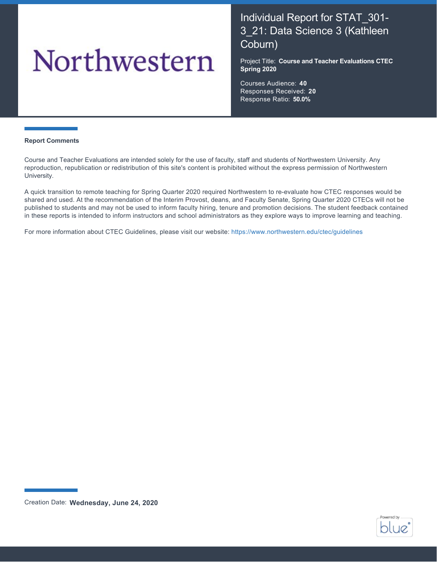# Northwestern

# Individual Report for STAT\_301- 3\_21: Data Science 3 (Kathleen Coburn)

Project Title: **Course and Teacher Evaluations CTEC Spring 2020**

Courses Audience: **40** Responses Received: **20** Response Ratio: **50.0%**

#### **Report Comments**

Course and Teacher Evaluations are intended solely for the use of faculty, staff and students of Northwestern University. Any reproduction, republication or redistribution of this site's content is prohibited without the express permission of Northwestern University.

A quick transition to remote teaching for Spring Quarter 2020 required Northwestern to re-evaluate how CTEC responses would be shared and used. At the recommendation of the Interim Provost, deans, and Faculty Senate, Spring Quarter 2020 CTECs will not be published to students and may not be used to inform faculty hiring, tenure and promotion decisions. The student feedback contained in these reports is intended to inform instructors and school administrators as they explore ways to improve learning and teaching.

For more information about CTEC Guidelines, please visit our website:<https://www.northwestern.edu/ctec/guidelines>



Creation Date: **Wednesday, June 24, 2020**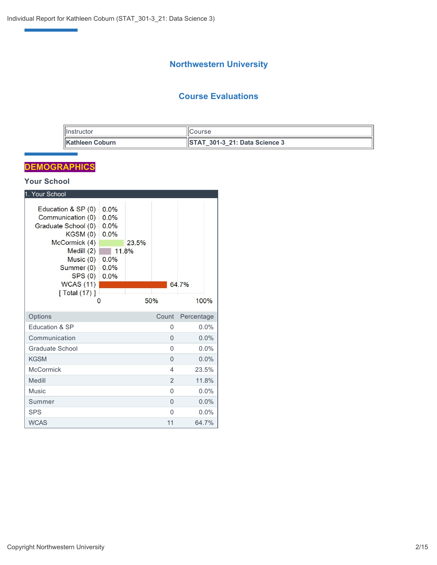# **Northwestern University**

# **Course Evaluations**

| <b>illnstructor</b>     | ICourse                                   |
|-------------------------|-------------------------------------------|
| <b>IKathleen Coburn</b> | $\parallel$ STAT 301-3 21: Data Science 3 |

# **DEMOGRAPHICS**

e<br>Vite<br>Vite

# **Your School**

| 1. Your School                                                            |                               |       |                |            |
|---------------------------------------------------------------------------|-------------------------------|-------|----------------|------------|
| Education & SP (0)<br>Communication (0)<br>Graduate School (0)<br>KGSM(0) | 0.0%<br>0.0%<br>0.0%<br>0.0%  |       |                |            |
| McCormick (4)<br>Medill $(2)$<br>Music $(0)$ -<br>Summer (0) -<br>SPS(0)  | 11.8%<br>0.0%<br>0.0%<br>0.0% | 23.5% |                |            |
| WCAS(11)<br>[ Total (17) ]                                                |                               |       |                | 64.7%      |
| $\Omega$                                                                  |                               | 50%   |                | 100%       |
| Options                                                                   |                               |       | Count          | Percentage |
| Education & SP                                                            |                               |       | $\Omega$       | $0.0\%$    |
| Communication                                                             |                               |       | $\Omega$       | $0.0\%$    |
| Graduate School                                                           |                               |       | 0              | $0.0\%$    |
| <b>KGSM</b>                                                               |                               |       | $\Omega$       | $0.0\%$    |
| <b>McCormick</b>                                                          |                               |       | 4              | 23.5%      |
| Medill                                                                    |                               |       | $\overline{2}$ | 11.8%      |
| Music                                                                     |                               |       | $\Omega$       | $0.0\%$    |
| Summer                                                                    |                               |       | $\Omega$       | $0.0\%$    |
| <b>SPS</b>                                                                |                               |       | $\Omega$       | $0.0\%$    |
| <b>WCAS</b>                                                               |                               |       | 11             | 64.7%      |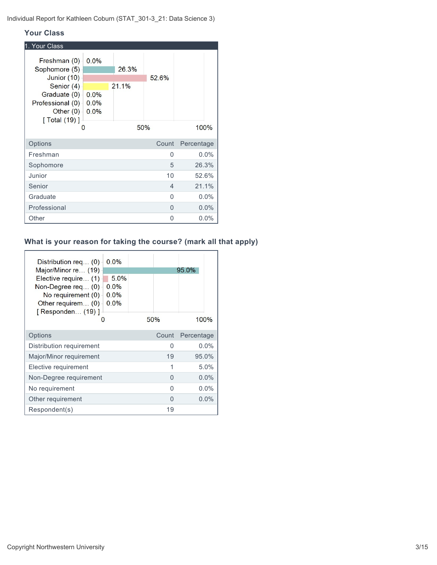Individual Report for Kathleen Coburn (STAT\_301-3\_21: Data Science 3)

#### **Your Class**

| 1. Your Class                                                                   |                      |       |          |            |
|---------------------------------------------------------------------------------|----------------------|-------|----------|------------|
| Freshman (0)<br>Sophomore (5)                                                   | 0.0%                 | 26.3% |          |            |
| Junior (10)                                                                     |                      |       | 52.6%    |            |
| Senior (4)<br>Graduate (0)<br>Professional (0)<br>Other $(0)$<br>[ Total (19) ] | 0.0%<br>0.0%<br>0.0% | 21.1% |          |            |
| 0                                                                               |                      |       | 50%      | 100%       |
| Options                                                                         |                      |       | Count    | Percentage |
| Freshman                                                                        |                      |       | $\Omega$ | 0.0%       |
| Sophomore                                                                       |                      |       | 5        | 26.3%      |
| Junior                                                                          |                      |       | 10       | 52.6%      |
| Senior                                                                          |                      |       | 4        | 21.1%      |
| Graduate                                                                        |                      |       | $\Omega$ | 0.0%       |
| Professional                                                                    |                      |       | 0        | 0.0%       |
| Other                                                                           |                      |       | 0        | $0.0\%$    |

# **What is your reason for taking the course? (mark all that apply)**

| Distribution req (0)<br>Major/Minor re (19)<br>Elective require (1)<br>Non-Degree req $(0)$<br>No requirement $(0)$<br>Other requirem (0)<br>[ Responden (19) ]<br>O | 0.0%<br>5.0%<br>0.0%<br>0.0%<br>0.0%<br>50% |       | 95.0%<br>100% |
|----------------------------------------------------------------------------------------------------------------------------------------------------------------------|---------------------------------------------|-------|---------------|
| Options                                                                                                                                                              |                                             | Count | Percentage    |
| Distribution requirement                                                                                                                                             |                                             | O     | $0.0\%$       |
| Major/Minor requirement                                                                                                                                              |                                             | 19    | 95.0%         |
| Elective requirement                                                                                                                                                 |                                             | 1     | $5.0\%$       |
| Non-Degree requirement                                                                                                                                               |                                             | 0     | $0.0\%$       |
| No requirement                                                                                                                                                       |                                             | U     | $0.0\%$       |
| Other requirement                                                                                                                                                    |                                             | O     | $0.0\%$       |
| Respondent(s)                                                                                                                                                        |                                             | 19    |               |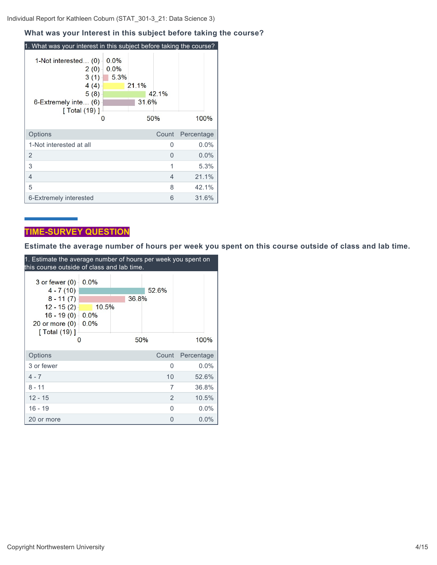#### **What was your Interest in this subject before taking the course?**

| 1. What was your interest in this subject before taking the course?                                      |                      |                                |            |
|----------------------------------------------------------------------------------------------------------|----------------------|--------------------------------|------------|
| 1-Not interested (0)<br>2(0)<br>3(1)<br>4(4)<br>5(8)<br>$6$ -Extremely inte $(6)$<br>[ Total (19) ]<br>O | 0.0%<br>0.0%<br>5.3% | 21.1%<br>42.1%<br>31.6%<br>50% | 100%       |
| Options                                                                                                  |                      | Count                          | Percentage |
| 1-Not interested at all                                                                                  |                      | 0                              | 0.0%       |
| $\overline{2}$                                                                                           |                      | O                              | $0.0\%$    |
| 3                                                                                                        |                      | 1                              | 5.3%       |
| 4                                                                                                        |                      | 4                              | 21.1%      |
| 5                                                                                                        |                      | 8                              | 42.1%      |
| 6-Extremely interested                                                                                   |                      | 6                              | 31.6%      |

# **TIME-SURVEY QUESTION**

**Estimate the average number of hours per week you spent on this course outside of class and lab time.**

| 1. Estimate the average number of hours per week you spent on<br>this course outside of class and lab time. |                          |       |          |            |  |
|-------------------------------------------------------------------------------------------------------------|--------------------------|-------|----------|------------|--|
|                                                                                                             |                          |       |          |            |  |
| $3$ or fewer $(0)$<br>$4 - 7(10)$                                                                           | 0.0%                     |       | 52.6%    |            |  |
| $8 - 11(7)$                                                                                                 |                          | 36.8% |          |            |  |
| $12 - 15(2)$<br>$16 - 19(0)$<br>20 or more $(0)$<br>$\sqrt{$ Total (19) ]                                   | 10.5%<br>$0.0\%$<br>0.0% |       |          |            |  |
|                                                                                                             |                          |       | 50%      | 100%       |  |
| Options                                                                                                     |                          |       | Count    | Percentage |  |
| 3 or fewer                                                                                                  |                          |       | $\Omega$ | 0.0%       |  |
| $4 - 7$                                                                                                     |                          |       | 10       | 52.6%      |  |
| $8 - 11$                                                                                                    |                          |       | 7        | 36.8%      |  |
| $12 - 15$                                                                                                   |                          |       | 2        | 10.5%      |  |
| 16 - 19                                                                                                     |                          |       | U        | $0.0\%$    |  |
| 20 or more                                                                                                  |                          |       | 0        | 0.0%       |  |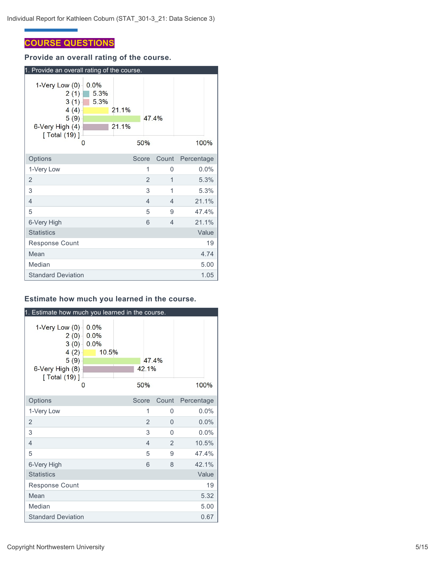# **COURSE QUESTIONS**

**Provide an overall rating of the course.**



## **Estimate how much you learned in the course.**

| 1. Estimate how much you learned in the course.                                                |                               |                |                |            |  |
|------------------------------------------------------------------------------------------------|-------------------------------|----------------|----------------|------------|--|
| 1-Very Low $(0)$<br>2(0)<br>3(0)<br>$4(2) -$<br>5(9)<br>6-Very High (8)<br>[ Total (19) ]<br>0 | 0.0%<br>0.0%<br>0.0%<br>10.5% | 42.1%<br>50%   | 47.4%          | 100%       |  |
| Options                                                                                        |                               | Score          | Count          | Percentage |  |
| 1-Very Low                                                                                     |                               | 1              | 0              | $0.0\%$    |  |
| $\overline{2}$                                                                                 |                               | $\overline{2}$ | $\Omega$       | 0.0%       |  |
| 3                                                                                              |                               | 3              | $\Omega$       | $0.0\%$    |  |
| $\overline{4}$                                                                                 |                               | $\overline{4}$ | $\overline{2}$ | 10.5%      |  |
| 5                                                                                              |                               | 5              | 9              | 47.4%      |  |
| 6-Very High                                                                                    |                               | 6              | 8              | 42.1%      |  |
| <b>Statistics</b>                                                                              |                               |                |                | Value      |  |
| Response Count                                                                                 |                               |                |                | 19         |  |
| Mean                                                                                           |                               |                |                | 5.32       |  |
| Median                                                                                         |                               |                |                | 5.00       |  |
| <b>Standard Deviation</b>                                                                      |                               |                |                | 0.67       |  |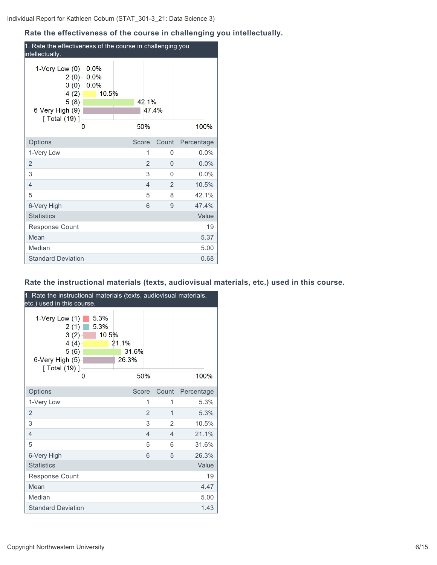# **Rate the effectiveness of the course in challenging you intellectually.**

| 1. Rate the effectiveness of the course in challenging you<br>intellectually.                 |                               |                |                |            |  |  |
|-----------------------------------------------------------------------------------------------|-------------------------------|----------------|----------------|------------|--|--|
| 1-Very Low $(0)$<br>2(0)<br>$3(0) -$<br>$4(2) -$<br>5(8)<br>6-Very High (9)<br>[ Total (19) ] | 0.0%<br>0.0%<br>0.0%<br>10.5% | 42.1%          | 47 4%          |            |  |  |
| 0                                                                                             |                               | 50%            |                | 100%       |  |  |
| Options                                                                                       |                               | Score          | Count          | Percentage |  |  |
| 1-Very Low                                                                                    |                               | 1              | 0              | 0.0%       |  |  |
| $\overline{2}$                                                                                |                               | $\overline{2}$ | 0              | 0.0%       |  |  |
| 3                                                                                             |                               | 3              | $\Omega$       | $0.0\%$    |  |  |
| $\overline{4}$                                                                                |                               | $\overline{4}$ | $\overline{2}$ | 10.5%      |  |  |
| 5                                                                                             |                               | 5              | 8              | 42.1%      |  |  |
| 6-Very High                                                                                   |                               | 6              | 9              | 47.4%      |  |  |
| <b>Statistics</b>                                                                             |                               |                |                | Value      |  |  |
| <b>Response Count</b>                                                                         |                               |                |                | 19         |  |  |
| Mean                                                                                          |                               |                |                | 5.37       |  |  |
| Median                                                                                        |                               |                |                | 5.00       |  |  |
| <b>Standard Deviation</b>                                                                     |                               |                |                | 0.68       |  |  |

# **Rate the instructional materials (texts, audiovisual materials, etc.) used in this course.**

| 1. Rate the instructional materials (texts, audiovisual materials,<br>etc.) used in this course.  |                       |                                |                |                          |            |
|---------------------------------------------------------------------------------------------------|-----------------------|--------------------------------|----------------|--------------------------|------------|
| $1-V$ ery Low $(1)$<br>2(1)<br>3(2)<br>4(4)<br>5(6)<br>6-Very High (5)<br>$[$ Total $(19)$ ]<br>0 | 5.3%<br>5.3%<br>10.5% | 21.1%<br>31.6%<br>26.3%<br>50% |                |                          | 100%       |
| Options                                                                                           |                       | Score                          |                | Count                    | Percentage |
| 1-Very Low                                                                                        |                       |                                | 1              | 1                        | 5.3%       |
| $\overline{2}$                                                                                    |                       |                                | $\overline{2}$ | $\overline{1}$           | 5.3%       |
| 3                                                                                                 |                       |                                | 3              | 2                        | 10.5%      |
| 4                                                                                                 |                       |                                | $\overline{4}$ | $\overline{\mathcal{L}}$ | 21.1%      |
| 5                                                                                                 |                       |                                | 5              | 6                        | 31.6%      |
| 6-Very High                                                                                       |                       |                                | 6              | 5                        | 26.3%      |
| <b>Statistics</b>                                                                                 |                       |                                |                |                          | Value      |
| Response Count                                                                                    |                       |                                |                |                          | 19         |
| Mean                                                                                              |                       |                                |                |                          | 4.47       |
| Median                                                                                            |                       |                                |                |                          | 5.00       |
| <b>Standard Deviation</b>                                                                         |                       |                                |                |                          | 1.43       |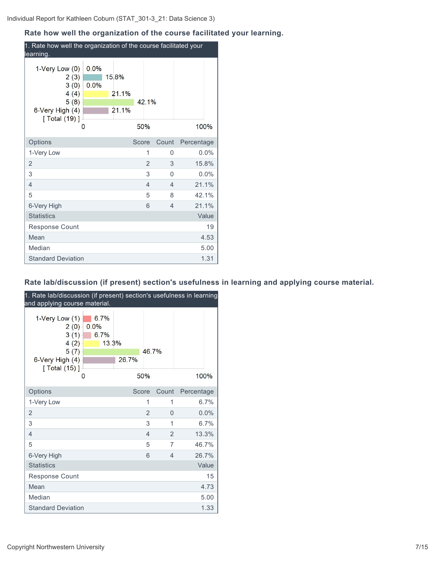# **Rate how well the organization of the course facilitated your learning.**

| 1. Rate how well the organization of the course facilitated your<br>learning.                                 |              |  |                         |       |                |                          |            |         |
|---------------------------------------------------------------------------------------------------------------|--------------|--|-------------------------|-------|----------------|--------------------------|------------|---------|
| $1$ -Very Low $(0)$<br>2(3)<br>3(0)<br>4(4)<br>5(8)<br>6-Very High (4)<br>$\lceil$ Total $(19)$ ]<br>$\Omega$ | 0.0%<br>0.0% |  | 15.8%<br>21.1%<br>21.1% | 50%   | 42.1%          |                          | 100%       |         |
| Options                                                                                                       |              |  |                         | Score |                | Count                    | Percentage |         |
| 1-Very Low                                                                                                    |              |  |                         |       | 1              | $\Omega$                 |            | 0.0%    |
| $\overline{2}$                                                                                                |              |  |                         |       | $\overline{2}$ | 3                        | 15.8%      |         |
| 3                                                                                                             |              |  |                         |       | 3              | $\Omega$                 |            | $0.0\%$ |
| 4                                                                                                             |              |  |                         |       | $\overline{4}$ | $\overline{4}$           | 21.1%      |         |
| 5                                                                                                             |              |  |                         |       | 5              | 8                        | 42.1%      |         |
| 6-Very High                                                                                                   |              |  |                         |       | 6              | $\overline{\mathcal{L}}$ | 21.1%      |         |
| <b>Statistics</b>                                                                                             |              |  |                         |       |                |                          |            | Value   |
| Response Count                                                                                                |              |  |                         |       |                |                          |            | 19      |
| Mean                                                                                                          |              |  |                         |       |                |                          |            | 4.53    |
| Median                                                                                                        |              |  |                         |       |                |                          |            | 5.00    |
| <b>Standard Deviation</b>                                                                                     |              |  |                         |       |                |                          |            | 1.31    |

# **Rate lab/discussion (if present) section's usefulness in learning and applying course material.**

| 1. Rate lab/discussion (if present) section's usefulness in learning<br>and applying course material. |                                    |       |                |                          |            |
|-------------------------------------------------------------------------------------------------------|------------------------------------|-------|----------------|--------------------------|------------|
| $1-V$ ery Low $(1)$<br>2(0)<br>3(1)<br>4(2)<br>5(7)<br>6-Very High (4)<br>[ Total (15) ]              | 6.7%<br>0.0%<br>6.7%<br>13.3%<br>O | 26.7% | 46.7%<br>50%   |                          | 100%       |
| Options                                                                                               |                                    |       | Score          | Count                    | Percentage |
| 1-Very Low                                                                                            |                                    |       | 1              | 1                        | 6.7%       |
| $\overline{2}$                                                                                        |                                    |       | $\overline{2}$ | $\Omega$                 | 0.0%       |
| 3                                                                                                     |                                    |       | 3              | 1                        | 6.7%       |
| $\overline{4}$                                                                                        |                                    |       | $\overline{4}$ | $\overline{2}$           | 13.3%      |
| 5                                                                                                     |                                    |       | 5              | 7                        | 46.7%      |
| 6-Very High                                                                                           |                                    |       | 6              | $\overline{\mathcal{L}}$ | 26.7%      |
| <b>Statistics</b>                                                                                     |                                    |       |                |                          | Value      |
| <b>Response Count</b>                                                                                 |                                    |       |                |                          | 15         |
| Mean                                                                                                  |                                    |       |                |                          | 4.73       |
| Median                                                                                                |                                    |       |                |                          | 5.00       |
| <b>Standard Deviation</b>                                                                             |                                    |       |                |                          | 1.33       |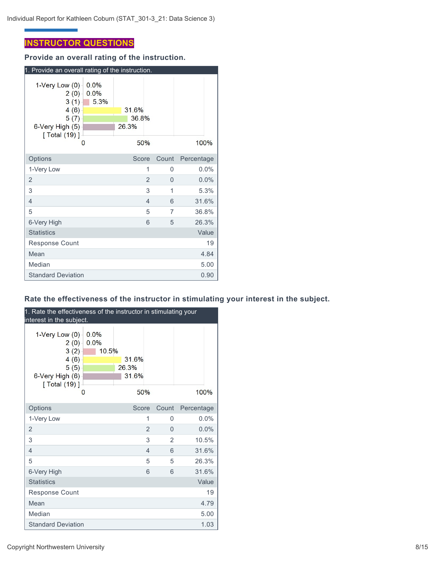# **INSTRUCTOR QUESTIONS**

**Provide an overall rating of the instruction.**

| 1. Provide an overall rating of the instruction.                                         |                           |                                |                |       |            |
|------------------------------------------------------------------------------------------|---------------------------|--------------------------------|----------------|-------|------------|
| $1-V$ ery Low $(0)$<br>2(0)<br>3(1)<br>4(6)<br>5(7)<br>6-Very High (5)<br>[ Total (19) ] | 0.0%<br>0.0%<br>5.3%<br>O | 31.6%<br>36.8%<br>26.3%<br>50% |                |       | 100%       |
| Options                                                                                  |                           | Score                          |                | Count | Percentage |
| 1-Very Low                                                                               |                           |                                | 1              | 0     | $0.0\%$    |
| 2                                                                                        |                           |                                | $\overline{2}$ | 0     | 0.0%       |
| 3                                                                                        |                           |                                | 3              | 1     | 5.3%       |
| 4                                                                                        |                           |                                | 4              | 6     | 31.6%      |
| 5                                                                                        |                           |                                | 5              | 7     | 36.8%      |
| 6-Very High                                                                              |                           |                                | 6              | 5     | 26.3%      |
| <b>Statistics</b>                                                                        |                           |                                |                |       | Value      |
| <b>Response Count</b>                                                                    |                           |                                |                |       | 19         |
| Mean                                                                                     |                           |                                |                |       | 4.84       |
| Median                                                                                   |                           |                                |                |       | 5.00       |
| <b>Standard Deviation</b>                                                                |                           |                                |                |       | 0.90       |

# **Rate the effectiveness of the instructor in stimulating your interest in the subject.**

| 1. Rate the effectiveness of the instructor in stimulating your<br>interest in the subject. |                       |       |                |       |            |
|---------------------------------------------------------------------------------------------|-----------------------|-------|----------------|-------|------------|
| 1-Very Low $(0)$<br>2(0)<br>3(2)<br>4(6)<br>5(5)<br>6-Very High (6)<br>[ Total (19) ]       | 0.0%<br>0.0%<br>10.5% | 26.3% | 31.6%<br>31.6% |       |            |
|                                                                                             | 0                     |       | 50%            |       | 100%       |
| Options                                                                                     |                       |       | Score          | Count | Percentage |
| 1-Very Low                                                                                  |                       |       | 1              | 0     | 0.0%       |
| $\overline{2}$                                                                              |                       |       | $\overline{2}$ | 0     | 0.0%       |
| 3                                                                                           |                       |       | 3              | 2     | 10.5%      |
| $\overline{4}$                                                                              |                       |       | $\overline{4}$ | 6     | 31.6%      |
| 5                                                                                           |                       |       | 5              | 5     | 26.3%      |
| 6-Very High                                                                                 |                       |       | 6              | 6     | 31.6%      |
| <b>Statistics</b>                                                                           |                       |       |                |       | Value      |
| <b>Response Count</b>                                                                       |                       |       |                |       | 19         |
| Mean                                                                                        |                       |       |                |       | 4.79       |
| Median                                                                                      |                       |       |                |       | 5.00       |
| <b>Standard Deviation</b>                                                                   |                       |       |                |       | 1.03       |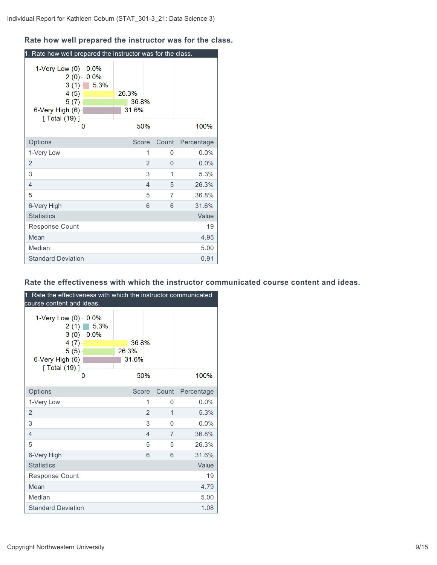## **Rate how well prepared the instructor was for the class.**

| 1. Rate how well prepared the instructor was for the class.                              |                           |                         |                |          |            |       |
|------------------------------------------------------------------------------------------|---------------------------|-------------------------|----------------|----------|------------|-------|
| $1$ -Very Low $(0)$<br>2(0)<br>3(1)<br>4(5)<br>5(7)<br>6-Very High (6)<br>[ Total (19) ] | 0.0%<br>0.0%<br>5.3%<br>0 | 26.3%<br>36.8%<br>31.6% | 50%            |          |            | 100%  |
| Options                                                                                  |                           | Score                   |                | Count    | Percentage |       |
| 1-Very Low                                                                               |                           |                         | 1              | $\Omega$ |            | 0.0%  |
| $\overline{2}$                                                                           |                           |                         | $\overline{2}$ | 0        |            | 0.0%  |
| 3                                                                                        |                           |                         | 3              | 1        |            | 5.3%  |
| $\overline{4}$                                                                           |                           |                         | $\overline{4}$ | 5        |            | 26.3% |
| 5                                                                                        |                           |                         | 5              | 7        |            | 36.8% |
| 6-Very High                                                                              |                           |                         | 6              | 6        |            | 31.6% |
| <b>Statistics</b>                                                                        |                           |                         |                |          |            | Value |
| <b>Response Count</b>                                                                    |                           |                         |                |          |            | 19    |
| Mean                                                                                     |                           |                         |                |          |            | 4.95  |
| Median                                                                                   |                           |                         |                |          |            | 5.00  |
| <b>Standard Deviation</b>                                                                |                           |                         |                |          |            | 0.91  |

#### **Rate the effectiveness with which the instructor communicated course content and ideas.**

| 1. Rate the effectiveness with which the instructor communicated<br>course content and ideas. |                              |                                |                |          |            |
|-----------------------------------------------------------------------------------------------|------------------------------|--------------------------------|----------------|----------|------------|
| 1-Very Low $(0)$<br>2(1)<br>3(0)<br>4(7)<br>5(5)<br>6-Very High (6)<br>[ Total (19) ]         | $0.0\%$<br>5.3%<br>0.0%<br>0 | 36.8%<br>26.3%<br>31.6%<br>50% |                |          | 100%       |
| Options                                                                                       |                              | Score                          |                | Count    | Percentage |
| 1-Very Low                                                                                    |                              |                                | 1              | 0        | 0.0%       |
| $\overline{2}$                                                                                |                              |                                | $\overline{2}$ | 1        | 5.3%       |
| 3                                                                                             |                              |                                | 3              | $\Omega$ | 0.0%       |
| $\overline{4}$                                                                                |                              |                                | 4              | 7        | 36.8%      |
| 5                                                                                             |                              |                                | 5              | 5        | 26.3%      |
| 6-Very High                                                                                   |                              |                                | 6              | 6        | 31.6%      |
| <b>Statistics</b>                                                                             |                              |                                |                |          | Value      |
| Response Count                                                                                |                              |                                |                |          | 19         |
| Mean                                                                                          |                              |                                |                |          | 4.79       |
| Median                                                                                        |                              |                                |                |          | 5.00       |
| <b>Standard Deviation</b>                                                                     |                              |                                |                |          | 1.08       |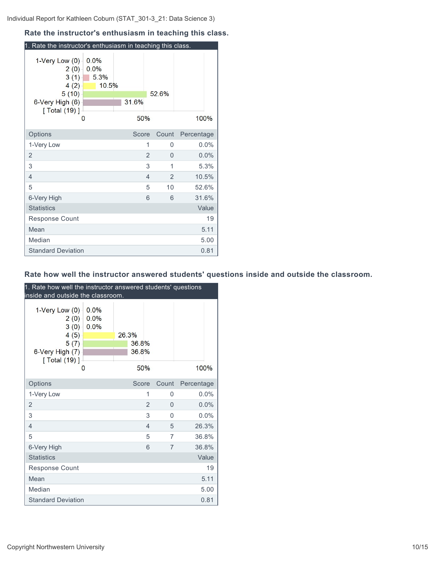# **Rate the instructor's enthusiasm in teaching this class.**

| 1. Rate the instructor's enthusiasm in teaching this class.                               |                               |              |                |                |            |
|-------------------------------------------------------------------------------------------|-------------------------------|--------------|----------------|----------------|------------|
| 1-Very Low (0)<br>2(0)<br>3(1)<br>4(2)<br>5(10)<br>6-Very High (6)<br>[ Total (19) ]<br>0 | 0.0%<br>0.0%<br>5.3%<br>10.5% | 31.6%<br>50% |                | 52.6%          | 100%       |
| Options                                                                                   |                               | Score        |                | Count          | Percentage |
| 1-Very Low                                                                                |                               |              | 1              | 0              | $0.0\%$    |
| $\overline{2}$                                                                            |                               |              | $\overline{2}$ | 0              | 0.0%       |
| 3                                                                                         |                               |              | 3              | 1              | 5.3%       |
| $\overline{4}$                                                                            |                               |              | $\overline{4}$ | $\overline{2}$ | 10.5%      |
| 5                                                                                         |                               |              | 5              | 10             | 52.6%      |
| 6-Very High                                                                               |                               |              | 6              | 6              | 31.6%      |
| <b>Statistics</b>                                                                         |                               |              |                |                | Value      |
| <b>Response Count</b>                                                                     |                               |              |                |                | 19         |
| Mean                                                                                      |                               |              |                |                | 5.11       |
| Median                                                                                    |                               |              |                |                | 5.00       |
| <b>Standard Deviation</b>                                                                 |                               |              |                |                | 0.81       |

# **Rate how well the instructor answered students' questions inside and outside the classroom.**

| 1. Rate how well the instructor answered students' questions<br>inside and outside the classroom. |                      |       |       |                |                |            |
|---------------------------------------------------------------------------------------------------|----------------------|-------|-------|----------------|----------------|------------|
| 1-Very Low (0)<br>2(0)<br>3(0)                                                                    | 0.0%<br>0.0%<br>0.0% |       |       |                |                |            |
| 4(5)<br>5(7)                                                                                      |                      | 26.3% | 36.8% |                |                |            |
| 6-Very High (7)                                                                                   |                      |       | 36.8% |                |                |            |
| [ Total (19) ]                                                                                    |                      |       |       |                |                |            |
|                                                                                                   | 0                    |       |       | 50%            |                | 100%       |
| Options                                                                                           |                      |       | Score |                | Count          | Percentage |
| 1-Very Low                                                                                        |                      |       |       | 1              | $\Omega$       | $0.0\%$    |
| 2                                                                                                 |                      |       |       | $\overline{2}$ | 0              | 0.0%       |
| 3                                                                                                 |                      |       |       | 3              | $\Omega$       | 0.0%       |
| $\overline{4}$                                                                                    |                      |       |       | $\overline{4}$ | 5              | 26.3%      |
| 5                                                                                                 |                      |       |       | 5              | 7              | 36.8%      |
| 6-Very High                                                                                       |                      |       |       | 6              | $\overline{7}$ | 36.8%      |
| <b>Statistics</b>                                                                                 |                      |       |       |                |                | Value      |
| <b>Response Count</b>                                                                             |                      |       |       |                |                | 19         |
| Mean                                                                                              |                      |       |       |                |                | 5.11       |
| Median                                                                                            |                      |       |       |                |                | 5.00       |
| <b>Standard Deviation</b>                                                                         |                      |       |       |                |                | 0.81       |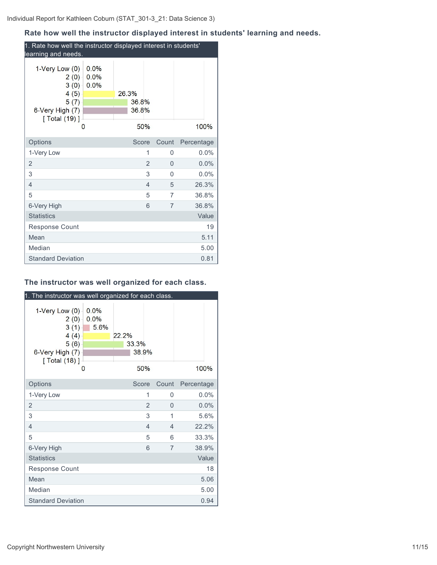#### **Rate how well the instructor displayed interest in students' learning and needs.**

| 1. Rate how well the instructor displayed interest in students'<br>learning and needs.    |                      |       |                |                |                |            |         |
|-------------------------------------------------------------------------------------------|----------------------|-------|----------------|----------------|----------------|------------|---------|
| 1-Very Low $(0)$<br>$2(0) -$<br>3(0)<br>4(5)<br>5(7)<br>6-Very High (7)<br>[ Total (19) ] | 0.0%<br>0.0%<br>0.0% | 26.3% | 36.8%<br>36.8% |                |                |            |         |
| 0                                                                                         |                      |       | 50%            |                |                | 100%       |         |
| Options                                                                                   |                      |       | Score          |                | Count          | Percentage |         |
| 1-Very Low                                                                                |                      |       |                | 1              | 0              |            | $0.0\%$ |
| 2                                                                                         |                      |       |                | $\overline{2}$ | $\Omega$       |            | 0.0%    |
| 3                                                                                         |                      |       |                | 3              | $\Omega$       |            | $0.0\%$ |
| 4                                                                                         |                      |       |                | $\overline{4}$ | 5              | 26.3%      |         |
| 5                                                                                         |                      |       |                | 5              | 7              | 36.8%      |         |
| 6-Very High                                                                               |                      |       |                | 6              | $\overline{7}$ | 36.8%      |         |
| <b>Statistics</b>                                                                         |                      |       |                |                |                |            | Value   |
| Response Count                                                                            |                      |       |                |                |                |            | 19      |
| Mean                                                                                      |                      |       |                |                |                |            | 5.11    |
| Median                                                                                    |                      |       |                |                |                |            | 5.00    |
| <b>Standard Deviation</b>                                                                 |                      |       |                |                |                |            | 0.81    |

#### **The instructor was well organized for each class.**

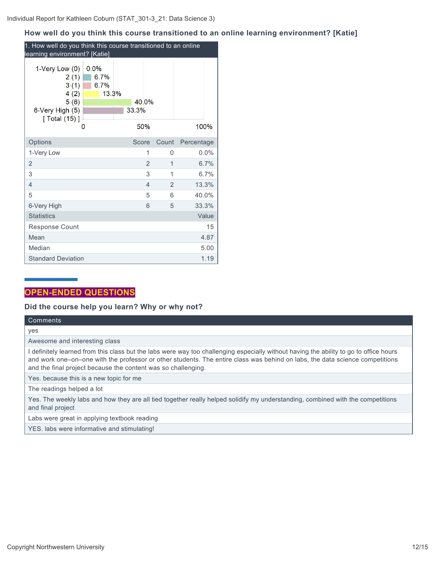# **How well do you think this course transitioned to an online learning environment? [Katie]**

| 1. How well do you think this course transitioned to an online<br>learning environment? [Katie]      |                               |  |              |                |             |            |       |
|------------------------------------------------------------------------------------------------------|-------------------------------|--|--------------|----------------|-------------|------------|-------|
| $1$ -Very Low $(0)$<br>2(1)<br>3(1)<br>4(2)<br>5(6)<br>6-Very High (5)<br>$\sqrt{[Total (15)]}$<br>0 | 0.0%<br>6.7%<br>6.7%<br>13.3% |  | 33.3%<br>50% | 40.0%          |             |            | 100%  |
|                                                                                                      |                               |  |              |                |             |            |       |
| Options                                                                                              |                               |  | Score        |                | Count       | Percentage |       |
| 1-Very Low                                                                                           |                               |  |              | 1              | 0           |            | 0.0%  |
| $\overline{2}$                                                                                       |                               |  |              | $\overline{2}$ | $\mathbf 1$ |            | 6.7%  |
| 3                                                                                                    |                               |  |              | 3              | 1           |            | 6.7%  |
| 4                                                                                                    |                               |  |              | $\overline{4}$ | 2           |            | 13.3% |
| 5                                                                                                    |                               |  |              | 5              | 6           |            | 40.0% |
| 6-Very High                                                                                          |                               |  |              | 6              | 5           |            | 33.3% |
| <b>Statistics</b>                                                                                    |                               |  |              |                |             |            | Value |
| <b>Response Count</b>                                                                                |                               |  |              |                |             |            | 15    |
| Mean                                                                                                 |                               |  |              |                |             |            | 4.87  |
| Median                                                                                               |                               |  |              |                |             |            | 5.00  |
| <b>Standard Deviation</b>                                                                            |                               |  |              |                |             |            | 1.19  |

# **OPEN-ENDED QUESTIONS**

# **Did the course help you learn? Why or why not?**

| Comments                                                                                                                                                                                                                                                                                                                                |
|-----------------------------------------------------------------------------------------------------------------------------------------------------------------------------------------------------------------------------------------------------------------------------------------------------------------------------------------|
| yes                                                                                                                                                                                                                                                                                                                                     |
| Awesome and interesting class                                                                                                                                                                                                                                                                                                           |
| I definitely learned from this class but the labs were way too challenging especially without having the ability to go to office hours<br>and work one–on–one with the professor or other students. The entire class was behind on labs, the data science competitions<br>and the final project because the content was so challenging. |
| Yes. because this is a new topic for me                                                                                                                                                                                                                                                                                                 |
| The readings helped a lot                                                                                                                                                                                                                                                                                                               |
| Yes. The weekly labs and how they are all tied together really helped solidify my understanding, combined with the competitions<br>and final project                                                                                                                                                                                    |
| Labs were great in applying textbook reading                                                                                                                                                                                                                                                                                            |
| YES. labs were informative and stimulating!                                                                                                                                                                                                                                                                                             |
|                                                                                                                                                                                                                                                                                                                                         |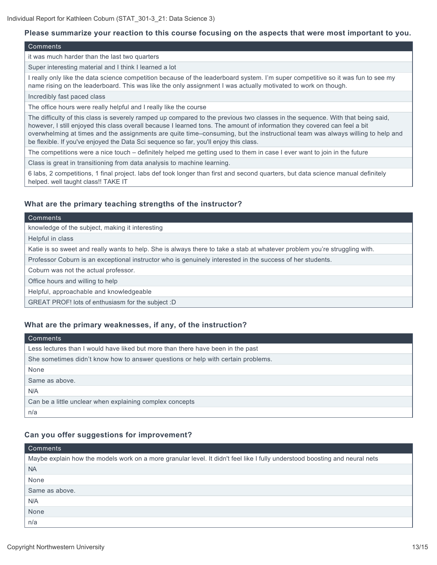#### **Please summarize your reaction to this course focusing on the aspects that were most important to you.**

#### **Comments**

it was much harder than the last two quarters

Super interesting material and I think I learned a lot

I really only like the data science competition because of the leaderboard system. I'm super competitive so it was fun to see my name rising on the leaderboard. This was like the only assignment I was actually motivated to work on though.

Incredibly fast paced class

The office hours were really helpful and I really like the course

The difficulty of this class is severely ramped up compared to the previous two classes in the sequence. With that being said, however, I still enjoyed this class overall because I learned tons. The amount of information they covered can feel a bit overwhelming at times and the assignments are quite time–consuming, but the instructional team was always willing to help and be flexible. If you've enjoyed the Data Sci sequence so far, you'll enjoy this class.

The competitions were a nice touch – definitely helped me getting used to them in case I ever want to join in the future

Class is great in transitioning from data analysis to machine learning.

6 labs, 2 competitions, 1 final project. labs def took longer than first and second quarters, but data science manual definitely helped. well taught class!! TAKE IT

#### **What are the primary teaching strengths of the instructor?**

#### **Comments**

knowledge of the subject, making it interesting

Helpful in class

Katie is so sweet and really wants to help. She is always there to take a stab at whatever problem you're struggling with.

Professor Coburn is an exceptional instructor who is genuinely interested in the success of her students.

Coburn was not the actual professor.

Office hours and willing to help

Helpful, approachable and knowledgeable

GREAT PROF! lots of enthusiasm for the subject :D

#### **What are the primary weaknesses, if any, of the instruction?**

| Comments                                                                         |
|----------------------------------------------------------------------------------|
| Less lectures than I would have liked but more than there have been in the past  |
| She sometimes didn't know how to answer questions or help with certain problems. |
| None                                                                             |
| Same as above.                                                                   |
| N/A                                                                              |
| Can be a little unclear when explaining complex concepts                         |
| n/a                                                                              |

#### **Can you offer suggestions for improvement?**

| Comments                                                                                                                    |
|-----------------------------------------------------------------------------------------------------------------------------|
| Maybe explain how the models work on a more granular level. It didn't feel like I fully understood boosting and neural nets |
| <b>NA</b>                                                                                                                   |
| None                                                                                                                        |
| Same as above.                                                                                                              |
| N/A                                                                                                                         |
| None                                                                                                                        |
| n/a                                                                                                                         |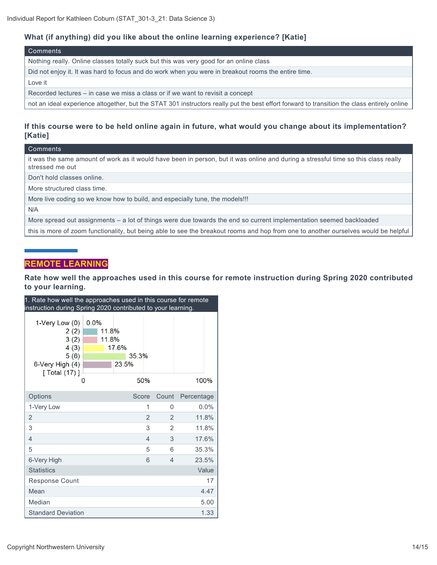## **What (if anything) did you like about the online learning experience? [Katie]**

#### Comments

Nothing really. Online classes totally suck but this was very good for an online class

Did not enjoy it. It was hard to focus and do work when you were in breakout rooms the entire time.

Love it

Recorded lectures – in case we miss a class or if we want to revisit a concept

not an ideal experience altogether, but the STAT 301 instructors really put the best effort forward to transition the class entirely online

#### **If this course were to be held online again in future, what would you change about its implementation? [Katie]**

| Comments |
|----------|
|----------|

it was the same amount of work as it would have been in person, but it was online and during a stressful time so this class really stressed me out

Don't hold classes online.

More structured class time.

More live coding so we know how to build, and especially tune, the models!!!

N/A

More spread out assignments – a lot of things were due towards the end so current implementation seemed backloaded

this is more of zoom functionality, but being able to see the breakout rooms and hop from one to another ourselves would be helpful

# **REMOTE LEARNING**

#### **Rate how well the approaches used in this course for remote instruction during Spring 2020 contributed to your learning.**

| 1. Rate how well the approaches used in this course for remote<br>instruction during Spring 2020 contributed to your learning. |                             |                |              |                |                          |            |
|--------------------------------------------------------------------------------------------------------------------------------|-----------------------------|----------------|--------------|----------------|--------------------------|------------|
| $1$ -Very Low $(0)$<br>2(2)<br>3(2)<br>4(3)<br>5(6)<br>6-Very High (4)<br>$[$ Total $(17)$ ]                                   | 0.0%<br>11.8%<br>11.8%<br>0 | 17.6%<br>23.5% | 35.3%<br>50% |                |                          | 100%       |
| Options                                                                                                                        |                             |                | Score        |                | Count                    | Percentage |
| 1-Very Low                                                                                                                     |                             |                |              | 1              | $\Omega$                 | $0.0\%$    |
| $\overline{2}$                                                                                                                 |                             |                |              | $\overline{2}$ | $\mathfrak{D}$           | 11.8%      |
| 3                                                                                                                              |                             |                |              | 3              | $\mathfrak{p}$           | 11.8%      |
| $\overline{4}$                                                                                                                 |                             |                |              | $\overline{4}$ | 3                        | 17.6%      |
| 5                                                                                                                              |                             |                |              | 5              | 6                        | 35.3%      |
| 6-Very High                                                                                                                    |                             |                |              | 6              | $\overline{\mathcal{L}}$ | 23.5%      |
| <b>Statistics</b>                                                                                                              |                             |                |              |                |                          | Value      |
| <b>Response Count</b>                                                                                                          |                             |                |              |                |                          | 17         |
| Mean                                                                                                                           |                             |                |              |                |                          | 4.47       |
| Median                                                                                                                         |                             |                |              |                |                          | 5.00       |
| <b>Standard Deviation</b>                                                                                                      |                             |                |              |                |                          | 1.33       |